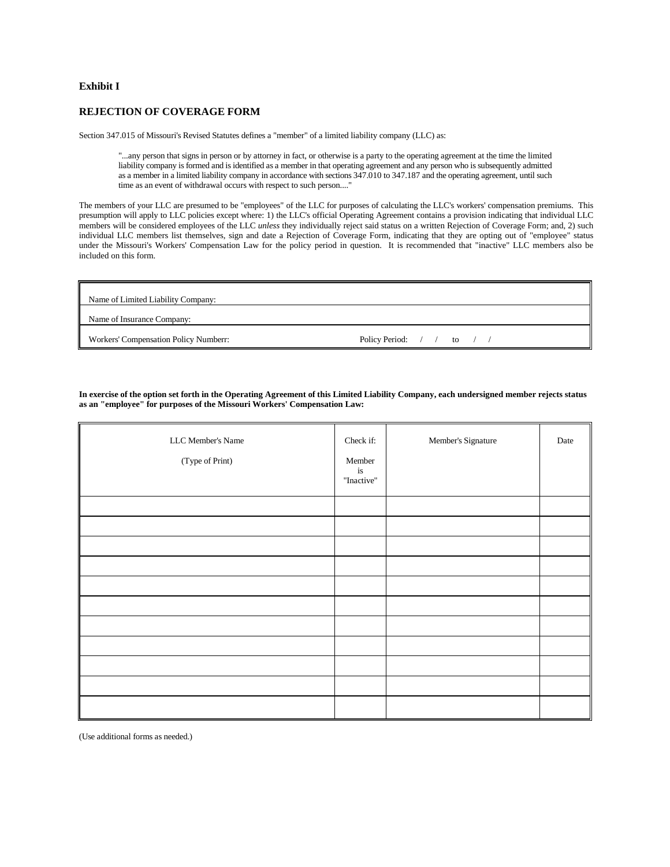#### **Exhibit I**

### **REJECTION OF COVERAGE FORM**

Section 347.015 of Missouri's Revised Statutes defines a "member" of a limited liability company (LLC) as:

"...any person that signs in person or by attorney in fact, or otherwise is a party to the operating agreement at the time the limited liability company is formed and is identified as a member in that operating agreement and any person who is subsequently admitted as a member in a limited liability company in accordance with sections 347.010 to 347.187 and the operating agreement, until such time as an event of withdrawal occurs with respect to such person...."

The members of your LLC are presumed to be "employees" of the LLC for purposes of calculating the LLC's workers' compensation premiums. This presumption will apply to LLC policies except where: 1) the LLC's official Operating Agreement contains a provision indicating that individual LLC members will be considered employees of the LLC *unless* they individually reject said status on a written Rejection of Coverage Form; and, 2) such individual LLC members list themselves, sign and date a Rejection of Coverage Form, indicating that they are opting out of "employee" status under the Missouri's Workers' Compensation Law for the policy period in question. It is recommended that "inactive" LLC members also be included on this form.

| Name of Limited Liability Company:    |                               |
|---------------------------------------|-------------------------------|
| Name of Insurance Company:            |                               |
| Workers' Compensation Policy Numberr: | Policy Period: $/ /$ to $/ /$ |

**In exercise of the option set forth in the Operating Agreement of this Limited Liability Company, each undersigned member rejects status as an "employee" for purposes of the Missouri Workers' Compensation Law:**

| LLC Member's Name<br>(Type of Print) | Check if:<br>Member<br>$i\mathbf{s}$<br>"Inactive" | Member's Signature | Date |
|--------------------------------------|----------------------------------------------------|--------------------|------|
|                                      |                                                    |                    |      |
|                                      |                                                    |                    |      |
|                                      |                                                    |                    |      |
|                                      |                                                    |                    |      |
|                                      |                                                    |                    |      |
|                                      |                                                    |                    |      |
|                                      |                                                    |                    |      |
|                                      |                                                    |                    |      |
|                                      |                                                    |                    |      |
|                                      |                                                    |                    |      |
|                                      |                                                    |                    |      |

(Use additional forms as needed.)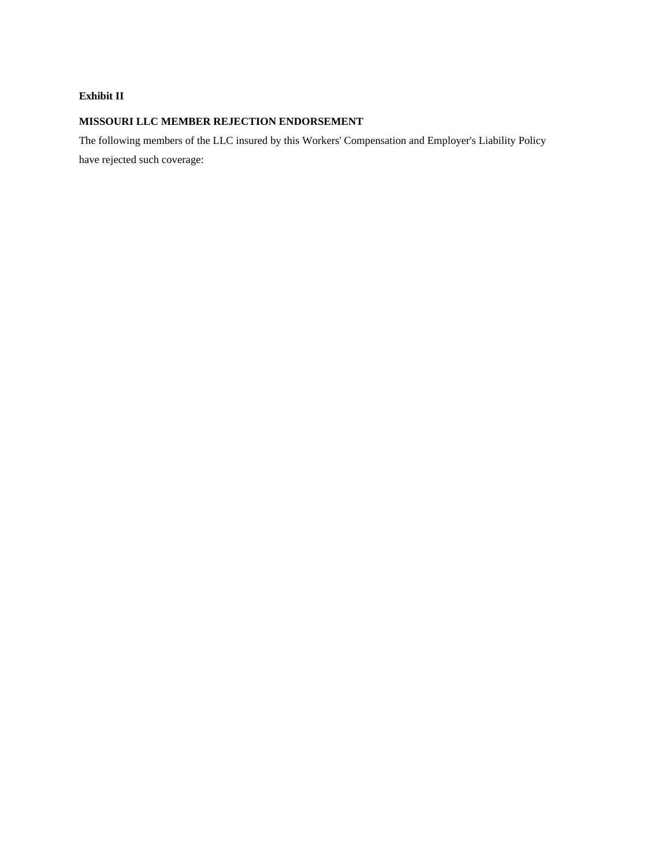# **Exhibit II**

# **MISSOURI LLC MEMBER REJECTION ENDORSEMENT**

The following members of the LLC insured by this Workers' Compensation and Employer's Liability Policy have rejected such coverage: